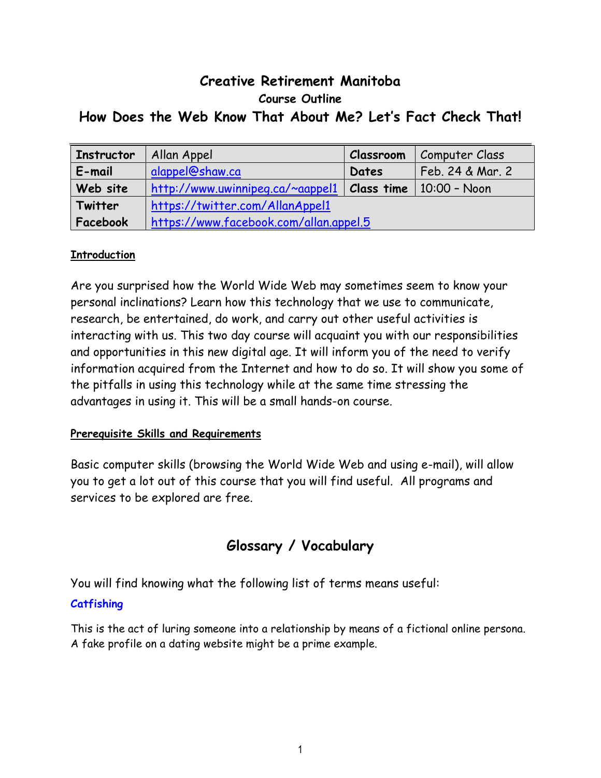# **Creative Retirement Manitoba Course Outline How Does the Web Know That About Me? Let's Fact Check That!**

| <b>Instructor</b> | Allan Appel                            | <b>Classroom</b> | Computer Class   |
|-------------------|----------------------------------------|------------------|------------------|
| E-mail            | alappel@shaw.ca                        | Dates            | Feb. 24 & Mar. 2 |
| Web site          | http://www.uwinnipeg.ca/~aappel1       | Class time       | 10:00 - Noon     |
| Twitter           | https://twitter.com/AllanAppel1        |                  |                  |
| Facebook          | https://www.facebook.com/allan.appel.5 |                  |                  |

## **Introduction**

Are you surprised how the World Wide Web may sometimes seem to know your personal inclinations? Learn how this technology that we use to communicate, research, be entertained, do work, and carry out other useful activities is interacting with us. This two day course will acquaint you with our responsibilities and opportunities in this new digital age. It will inform you of the need to verify information acquired from the Internet and how to do so. It will show you some of the pitfalls in using this technology while at the same time stressing the advantages in using it. This will be a small hands-on course.

## **Prerequisite Skills and Requirements**

Basic computer skills (browsing the World Wide Web and using e-mail), will allow you to get a lot out of this course that you will find useful. All programs and services to be explored are free.

# **Glossary / Vocabulary**

You will find knowing what the following list of terms means useful:

## **Catfishing**

This is the act of luring someone into a relationship by means of a fictional online persona. A fake profile on a dating website might be a prime example.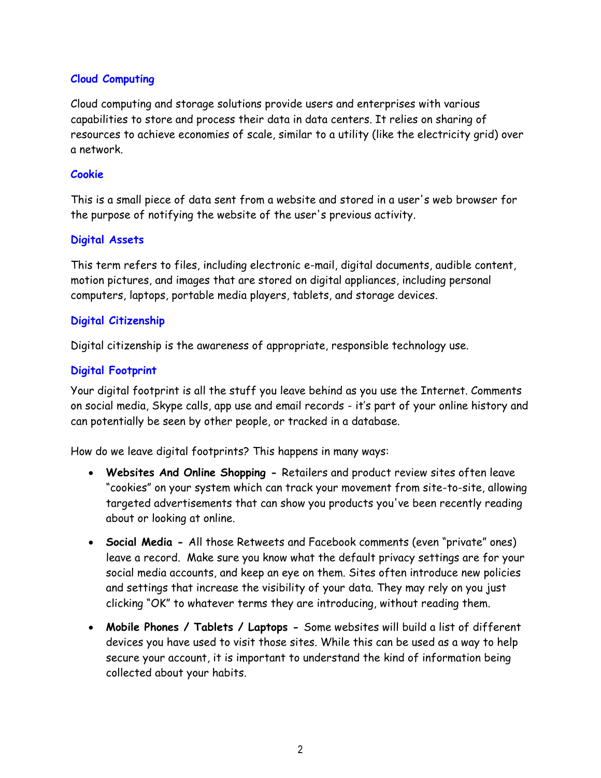#### **Cloud Computing**

Cloud computing and storage solutions provide users and enterprises with various capabilities to store and process their data in data centers. It relies on sharing of resources to achieve economies of scale, similar to a utility (like the electricity grid) over a network.

#### **Cookie**

This is a small piece of data sent from a website and stored in a user's web browser for the purpose of notifying the website of the user's previous activity.

#### **Digital Assets**

This term refers to files, including electronic e-mail, digital documents, audible content, motion pictures, and images that are stored on digital appliances, including personal computers, laptops, portable media players, tablets, and storage devices.

#### **Digital Citizenship**

Digital citizenship is the awareness of appropriate, responsible technology use.

#### **Digital Footprint**

Your digital footprint is all the stuff you leave behind as you use the Internet. Comments on social media, Skype calls, app use and email records - it's part of your online history and can potentially be seen by other people, or tracked in a database.

How do we leave digital footprints? This happens in many ways:

- **Websites And Online Shopping -** Retailers and product review sites often leave "cookies" on your system which can track your movement from site-to-site, allowing targeted advertisements that can show you products you've been recently reading about or looking at online.
- **Social Media -** All those Retweets and Facebook comments (even "private" ones) leave a record. Make sure you know what the default privacy settings are for your social media accounts, and keep an eye on them. Sites often introduce new policies and settings that increase the visibility of your data. They may rely on you just clicking "OK" to whatever terms they are introducing, without reading them.
- **Mobile Phones / Tablets / Laptops -** Some websites will build a list of different devices you have used to visit those sites. While this can be used as a way to help secure your account, it is important to understand the kind of information being collected about your habits.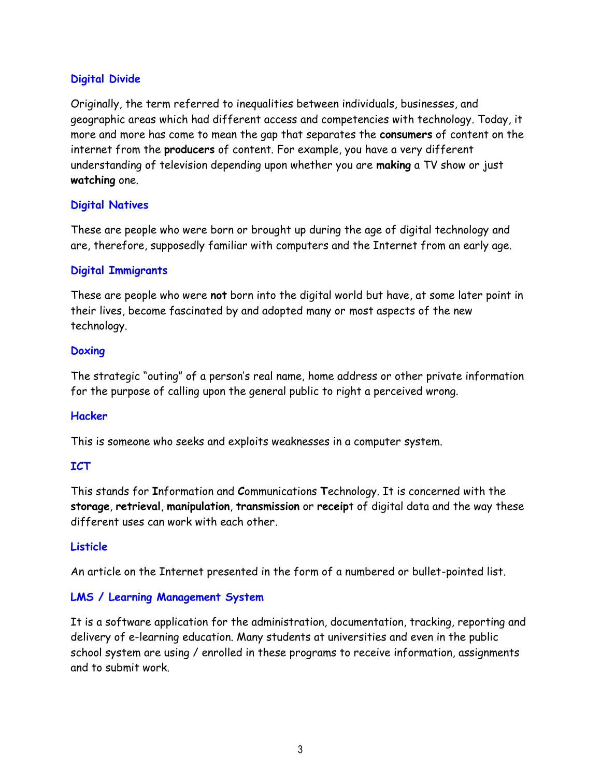#### **Digital Divide**

Originally, the term referred to inequalities between individuals, businesses, and geographic areas which had different access and competencies with technology. Today, it more and more has come to mean the gap that separates the **consumers** of content on the internet from the **producers** of content. For example, you have a very different understanding of television depending upon whether you are **making** a TV show or just **watching** one.

#### **Digital Natives**

These are people who were born or brought up during the age of digital technology and are, therefore, supposedly familiar with computers and the Internet from an early age.

#### **Digital Immigrants**

These are people who were **not** born into the digital world but have, at some later point in their lives, become fascinated by and adopted many or most aspects of the new technology.

#### **Doxing**

The strategic "outing" of a person's real name, home address or other private information for the purpose of calling upon the general public to right a perceived wrong.

#### **Hacker**

This is someone who seeks and exploits weaknesses in a computer system.

#### **ICT**

This stands for **I**nformation and **C**ommunications **T**echnology. It is concerned with the **storage**, **retrieval**, **manipulation**, **transmission** or **receip**t of digital data and the way these different uses can work with each other.

#### **Listicle**

An article on the Internet presented in the form of a numbered or bullet-pointed list.

#### **LMS / Learning Management System**

It is a software application for the administration, documentation, tracking, reporting and delivery of e-learning education. Many students at universities and even in the public school system are using / enrolled in these programs to receive information, assignments and to submit work.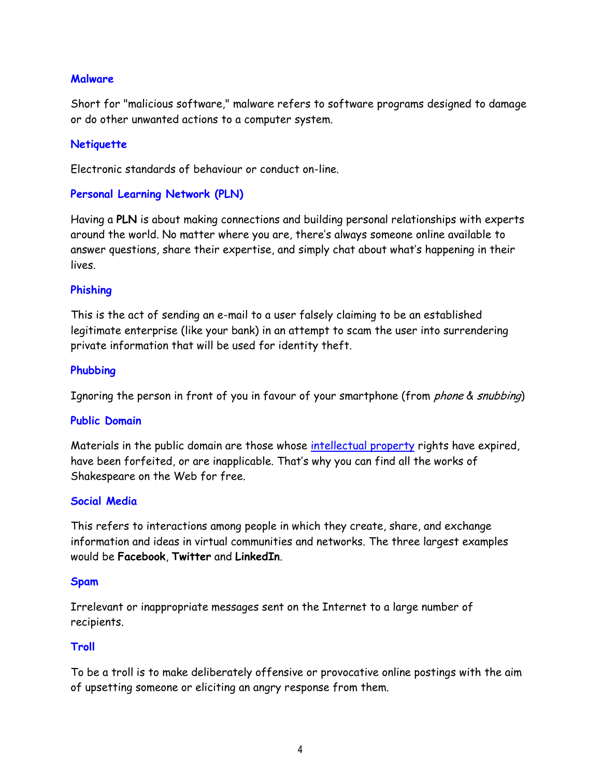#### **Malware**

Short for "malicious software," malware refers to software programs designed to damage or do other unwanted actions to a computer system.

#### **Netiquette**

Electronic standards of behaviour or conduct on-line.

#### **Personal Learning Network (PLN)**

Having a **PLN** is about making connections and building personal relationships with experts around the world. No matter where you are, there's always someone online available to answer questions, share their expertise, and simply chat about what's happening in their lives.

#### **Phishing**

This is the act of sending an e-mail to a user falsely claiming to be an established legitimate enterprise (like your bank) in an attempt to scam the user into surrendering private information that will be used for identity theft.

#### **Phubbing**

Ignoring the person in front of you in favour of your smartphone (from *phone & snubbing*)

#### **Public Domain**

Materials in the public domain are those whose [intellectual property](https://en.wikipedia.org/wiki/Intellectual_property) rights have expired, have been forfeited, or are inapplicable. That's why you can find all the works of Shakespeare on the Web for free.

#### **Social Media**

This refers to interactions among people in which they create, share, and exchange information and ideas in virtual communities and networks. The three largest examples would be **Facebook**, **Twitter** and **LinkedIn**.

#### **Spam**

Irrelevant or inappropriate messages sent on the Internet to a large number of recipients.

#### **Troll**

To be a troll is to make deliberately offensive or provocative online postings with the aim of upsetting someone or eliciting an angry response from them.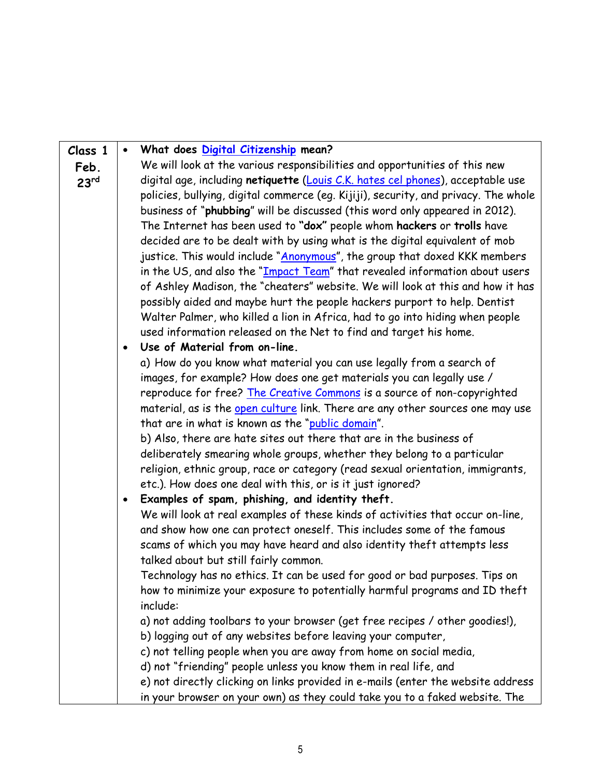| Class 1          |                                                                                | What does Digital Citizenship mean?                                                 |  |  |
|------------------|--------------------------------------------------------------------------------|-------------------------------------------------------------------------------------|--|--|
| Feb.             |                                                                                | We will look at the various responsibilities and opportunities of this new          |  |  |
| 23 <sup>rd</sup> |                                                                                | digital age, including netiquette (Louis C.K. hates cel phones), acceptable use     |  |  |
|                  |                                                                                | policies, bullying, digital commerce (eg. Kijiji), security, and privacy. The whole |  |  |
|                  |                                                                                | business of "phubbing" will be discussed (this word only appeared in 2012).         |  |  |
|                  |                                                                                | The Internet has been used to "dox" people whom hackers or trolls have              |  |  |
|                  |                                                                                | decided are to be dealt with by using what is the digital equivalent of mob         |  |  |
|                  | justice. This would include "Anonymous", the group that doxed KKK members      |                                                                                     |  |  |
|                  | in the US, and also the "Impact Team" that revealed information about users    |                                                                                     |  |  |
|                  | of Ashley Madison, the "cheaters" website. We will look at this and how it has |                                                                                     |  |  |
|                  | possibly aided and maybe hurt the people hackers purport to help. Dentist      |                                                                                     |  |  |
|                  | Walter Palmer, who killed a lion in Africa, had to go into hiding when people  |                                                                                     |  |  |
|                  |                                                                                | used information released on the Net to find and target his home.                   |  |  |
|                  | $\bullet$                                                                      | Use of Material from on-line.                                                       |  |  |
|                  |                                                                                | a) How do you know what material you can use legally from a search of               |  |  |
|                  |                                                                                | images, for example? How does one get materials you can legally use /               |  |  |
|                  |                                                                                | reproduce for free? The Creative Commons is a source of non-copyrighted             |  |  |
|                  |                                                                                | material, as is the open culture link. There are any other sources one may use      |  |  |
|                  |                                                                                | that are in what is known as the "public domain".                                   |  |  |
|                  |                                                                                | b) Also, there are hate sites out there that are in the business of                 |  |  |
|                  |                                                                                | deliberately smearing whole groups, whether they belong to a particular             |  |  |
|                  |                                                                                | religion, ethnic group, race or category (read sexual orientation, immigrants,      |  |  |
|                  |                                                                                | etc.). How does one deal with this, or is it just ignored?                          |  |  |
|                  | Examples of spam, phishing, and identity theft.<br>$\bullet$                   |                                                                                     |  |  |
|                  |                                                                                | We will look at real examples of these kinds of activities that occur on-line,      |  |  |
|                  |                                                                                | and show how one can protect oneself. This includes some of the famous              |  |  |
|                  |                                                                                | scams of which you may have heard and also identity theft attempts less             |  |  |
|                  |                                                                                | talked about but still fairly common.                                               |  |  |
|                  |                                                                                | Technology has no ethics. It can be used for good or bad purposes. Tips on          |  |  |
|                  |                                                                                | how to minimize your exposure to potentially harmful programs and ID theft          |  |  |
|                  |                                                                                | include:                                                                            |  |  |
|                  |                                                                                | a) not adding toolbars to your browser (get free recipes / other goodies!),         |  |  |
|                  |                                                                                | b) logging out of any websites before leaving your computer,                        |  |  |
|                  |                                                                                | c) not telling people when you are away from home on social media,                  |  |  |
|                  |                                                                                | d) not "friending" people unless you know them in real life, and                    |  |  |
|                  |                                                                                | e) not directly clicking on links provided in e-mails (enter the website address    |  |  |
|                  |                                                                                | in your browser on your own) as they could take you to a faked website. The         |  |  |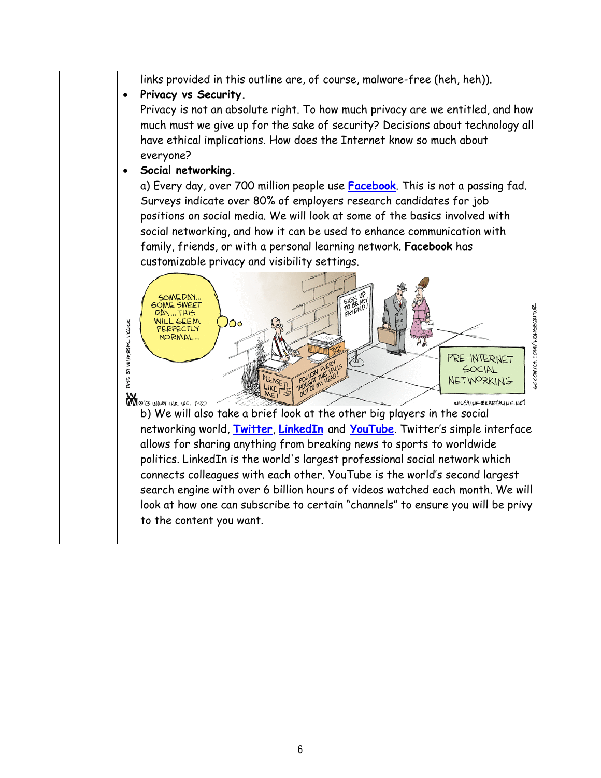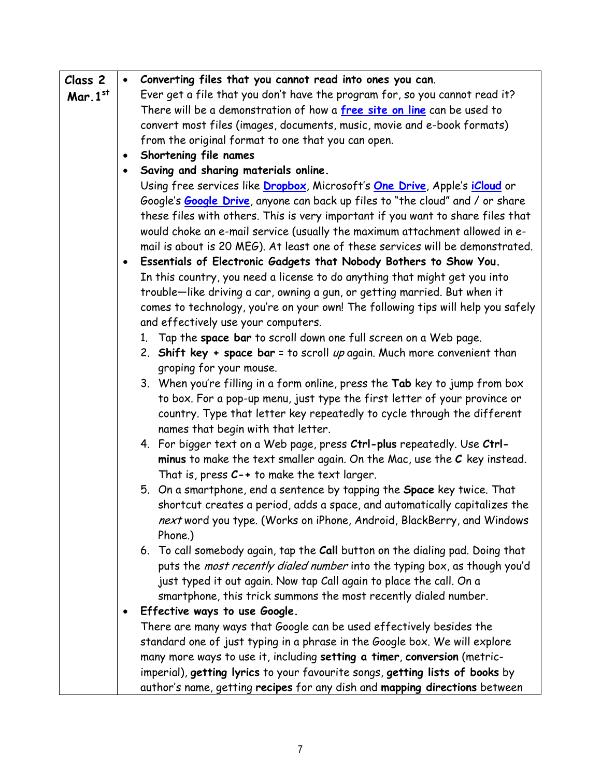| Class 2    | $\bullet$ | Converting files that you cannot read into ones you can.                                                                                                 |  |
|------------|-----------|----------------------------------------------------------------------------------------------------------------------------------------------------------|--|
| Mar. $1st$ |           | Ever get a file that you don't have the program for, so you cannot read it?                                                                              |  |
|            |           | There will be a demonstration of how a free site on line can be used to                                                                                  |  |
|            |           | convert most files (images, documents, music, movie and e-book formats)                                                                                  |  |
|            |           | from the original format to one that you can open.                                                                                                       |  |
|            | $\bullet$ | Shortening file names                                                                                                                                    |  |
|            |           | Saving and sharing materials online.                                                                                                                     |  |
|            |           | Using free services like Dropbox, Microsoft's One Drive, Apple's iCloud or                                                                               |  |
|            |           | Google's <b>Google Drive</b> , anyone can back up files to "the cloud" and / or share                                                                    |  |
|            |           | these files with others. This is very important if you want to share files that                                                                          |  |
|            |           | would choke an e-mail service (usually the maximum attachment allowed in e-                                                                              |  |
|            |           | mail is about is 20 MEG). At least one of these services will be demonstrated.                                                                           |  |
|            | $\bullet$ | Essentials of Electronic Gadgets that Nobody Bothers to Show You.                                                                                        |  |
|            |           | In this country, you need a license to do anything that might get you into                                                                               |  |
|            |           | trouble-like driving a car, owning a gun, or getting married. But when it                                                                                |  |
|            |           | comes to technology, you're on your own! The following tips will help you safely<br>and effectively use your computers.                                  |  |
|            |           | 1. Tap the space bar to scroll down one full screen on a Web page.                                                                                       |  |
|            |           | 2. Shift key + space bar = to scroll up again. Much more convenient than                                                                                 |  |
|            |           | groping for your mouse.                                                                                                                                  |  |
|            |           | 3. When you're filling in a form online, press the Tab key to jump from box                                                                              |  |
|            |           | to box. For a pop-up menu, just type the first letter of your province or                                                                                |  |
|            |           | country. Type that letter key repeatedly to cycle through the different                                                                                  |  |
|            |           | names that begin with that letter.                                                                                                                       |  |
|            |           | 4. For bigger text on a Web page, press Ctrl-plus repeatedly. Use Ctrl-                                                                                  |  |
|            |           | minus to make the text smaller again. On the Mac, use the $C$ key instead.                                                                               |  |
|            |           | That is, press $C_{-+}$ to make the text larger.                                                                                                         |  |
|            |           | 5. On a smartphone, end a sentence by tapping the Space key twice. That                                                                                  |  |
|            |           | shortcut creates a period, adds a space, and automatically capitalizes the                                                                               |  |
|            |           | next word you type. (Works on iPhone, Android, BlackBerry, and Windows                                                                                   |  |
|            |           | Phone.)                                                                                                                                                  |  |
|            |           | 6. To call somebody again, tap the Call button on the dialing pad. Doing that                                                                            |  |
|            |           | puts the most recently dialed number into the typing box, as though you'd                                                                                |  |
|            |           | just typed it out again. Now tap Call again to place the call. On a                                                                                      |  |
|            |           | smartphone, this trick summons the most recently dialed number.                                                                                          |  |
|            | ٠         | Effective ways to use Google.                                                                                                                            |  |
|            |           | There are many ways that Google can be used effectively besides the                                                                                      |  |
|            |           | standard one of just typing in a phrase in the Google box. We will explore                                                                               |  |
|            |           | many more ways to use it, including setting a timer, conversion (metric-<br>imperial), getting lyrics to your favourite songs, getting lists of books by |  |
|            |           | author's name, getting recipes for any dish and mapping directions between                                                                               |  |
|            |           |                                                                                                                                                          |  |